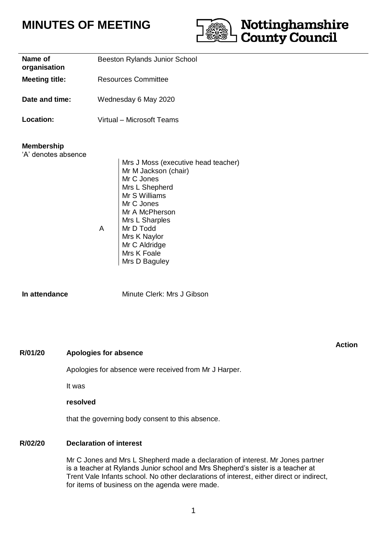# **MINUTES OF MEETING**



| Name of<br>organisation                  | Beeston Rylands Junior School |                                                                                                                                                                                                                                              |
|------------------------------------------|-------------------------------|----------------------------------------------------------------------------------------------------------------------------------------------------------------------------------------------------------------------------------------------|
| <b>Meeting title:</b>                    | <b>Resources Committee</b>    |                                                                                                                                                                                                                                              |
| Date and time:                           | Wednesday 6 May 2020          |                                                                                                                                                                                                                                              |
| <b>Location:</b>                         | Virtual – Microsoft Teams     |                                                                                                                                                                                                                                              |
| <b>Membership</b><br>'A' denotes absence | A                             | Mrs J Moss (executive head teacher)<br>Mr M Jackson (chair)<br>Mr C Jones<br>Mrs L Shepherd<br>Mr S Williams<br>Mr C Jones<br>Mr A McPherson<br>Mrs L Sharples<br>Mr D Todd<br>Mrs K Naylor<br>Mr C Aldridge<br>Mrs K Foale<br>Mrs D Baguley |

**In attendance** Minute Clerk: Mrs J Gibson

### **R/01/20 Apologies for absence**

Apologies for absence were received from Mr J Harper.

It was

### **resolved**

that the governing body consent to this absence.

### **R/02/20 Declaration of interest**

Mr C Jones and Mrs L Shepherd made a declaration of interest. Mr Jones partner is a teacher at Rylands Junior school and Mrs Shepherd's sister is a teacher at Trent Vale Infants school. No other declarations of interest, either direct or indirect, for items of business on the agenda were made.

### **Action**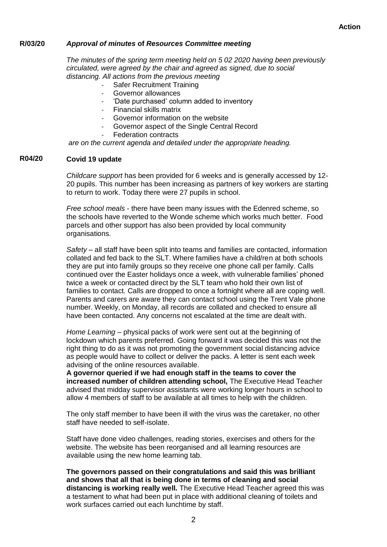#### **R/03/20** *Approval of minutes* **of** *Resources Committee meeting*

*The minutes of the spring term meeting held on 5 02 2020 having been previously circulated, were agreed by the chair and agreed as signed, due to social distancing. All actions from the previous meeting*

- Safer Recruitment Training
- Governor allowances
- 'Date purchased' column added to inventory
- Financial skills matrix
- Governor information on the website
- Governor aspect of the Single Central Record
- **Federation contracts**

*are on the current agenda and detailed under the appropriate heading.*

#### **R04/20 Covid 19 update**

*Childcare support* has been provided for 6 weeks and is generally accessed by 12- 20 pupils. This number has been increasing as partners of key workers are starting to return to work. Today there were 27 pupils in school.

*Free school meals* - there have been many issues with the Edenred scheme, so the schools have reverted to the Wonde scheme which works much better. Food parcels and other support has also been provided by local community organisations.

*Safety* – all staff have been split into teams and families are contacted, information collated and fed back to the SLT. Where families have a child/ren at both schools they are put into family groups so they receive one phone call per family. Calls continued over the Easter holidays once a week, with vulnerable families' phoned twice a week or contacted direct by the SLT team who hold their own list of families to contact. Calls are dropped to once a fortnight where all are coping well. Parents and carers are aware they can contact school using the Trent Vale phone number. Weekly, on Monday, all records are collated and checked to ensure all have been contacted. Any concerns not escalated at the time are dealt with.

*Home Learning –* physical packs of work were sent out at the beginning of lockdown which parents preferred. Going forward it was decided this was not the right thing to do as it was not promoting the government social distancing advice as people would have to collect or deliver the packs. A letter is sent each week advising of the online resources available.

**A governor queried if we had enough staff in the teams to cover the increased number of children attending school,** The Executive Head Teacher advised that midday supervisor assistants were working longer hours in school to allow 4 members of staff to be available at all times to help with the children.

The only staff member to have been ill with the virus was the caretaker, no other staff have needed to self-isolate.

Staff have done video challenges, reading stories, exercises and others for the website. The website has been reorganised and all learning resources are available using the new home learning tab.

**The governors passed on their congratulations and said this was brilliant and shows that all that is being done in terms of cleaning and social distancing is working really well.** The Executive Head Teacher agreed this was a testament to what had been put in place with additional cleaning of toilets and work surfaces carried out each lunchtime by staff.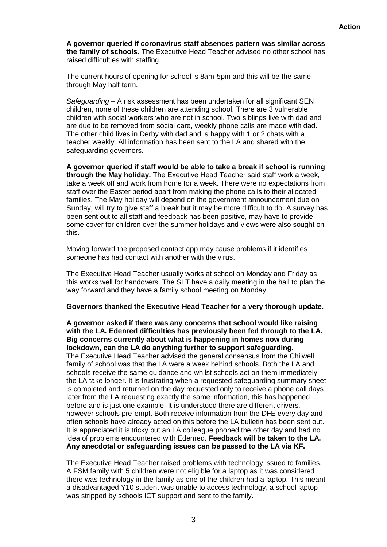**A governor queried if coronavirus staff absences pattern was similar across the family of schools.** The Executive Head Teacher advised no other school has raised difficulties with staffing.

The current hours of opening for school is 8am-5pm and this will be the same through May half term.

*Safeguarding –* A risk assessment has been undertaken for all significant SEN children, none of these children are attending school. There are 3 vulnerable children with social workers who are not in school. Two siblings live with dad and are due to be removed from social care, weekly phone calls are made with dad. The other child lives in Derby with dad and is happy with 1 or 2 chats with a teacher weekly. All information has been sent to the LA and shared with the safeguarding governors.

**A governor queried if staff would be able to take a break if school is running through the May holiday.** The Executive Head Teacher said staff work a week, take a week off and work from home for a week. There were no expectations from staff over the Easter period apart from making the phone calls to their allocated families. The May holiday will depend on the government announcement due on Sunday, will try to give staff a break but it may be more difficult to do. A survey has been sent out to all staff and feedback has been positive, may have to provide some cover for children over the summer holidays and views were also sought on this.

Moving forward the proposed contact app may cause problems if it identifies someone has had contact with another with the virus.

The Executive Head Teacher usually works at school on Monday and Friday as this works well for handovers. The SLT have a daily meeting in the hall to plan the way forward and they have a family school meeting on Monday.

### **Governors thanked the Executive Head Teacher for a very thorough update.**

**A governor asked if there was any concerns that school would like raising with the LA. Edenred difficulties has previously been fed through to the LA. Big concerns currently about what is happening in homes now during lockdown, can the LA do anything further to support safeguarding.** The Executive Head Teacher advised the general consensus from the Chilwell

family of school was that the LA were a week behind schools. Both the LA and schools receive the same guidance and whilst schools act on them immediately the LA take longer. It is frustrating when a requested safeguarding summary sheet is completed and returned on the day requested only to receive a phone call days later from the LA requesting exactly the same information, this has happened before and is just one example. It is understood there are different drivers, however schools pre-empt. Both receive information from the DFE every day and often schools have already acted on this before the LA bulletin has been sent out. It is appreciated it is tricky but an LA colleague phoned the other day and had no idea of problems encountered with Edenred. **Feedback will be taken to the LA. Any anecdotal or safeguarding issues can be passed to the LA via KF.** 

The Executive Head Teacher raised problems with technology issued to families. A FSM family with 5 children were not eligible for a laptop as it was considered there was technology in the family as one of the children had a laptop. This meant a disadvantaged Y10 student was unable to access technology, a school laptop was stripped by schools ICT support and sent to the family.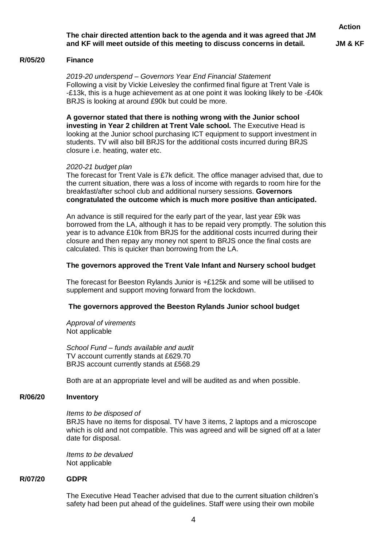### **The chair directed attention back to the agenda and it was agreed that JM and KF will meet outside of this meeting to discuss concerns in detail.**

**JM & KF**

#### **R/05/20 Finance**

*2019-20 underspend – Governors Year End Financial Statement* Following a visit by Vickie Leivesley the confirmed final figure at Trent Vale is -£13k, this is a huge achievement as at one point it was looking likely to be -£40k BRJS is looking at around £90k but could be more.

**A governor stated that there is nothing wrong with the Junior school investing in Year 2 children at Trent Vale school.** The Executive Head is looking at the Junior school purchasing ICT equipment to support investment in students. TV will also bill BRJS for the additional costs incurred during BRJS closure i.e. heating, water etc.

### *2020-21 budget plan*

The forecast for Trent Vale is £7k deficit. The office manager advised that, due to the current situation, there was a loss of income with regards to room hire for the breakfast/after school club and additional nursery sessions. **Governors congratulated the outcome which is much more positive than anticipated.**

An advance is still required for the early part of the year, last year £9k was borrowed from the LA, although it has to be repaid very promptly. The solution this year is to advance £10k from BRJS for the additional costs incurred during their closure and then repay any money not spent to BRJS once the final costs are calculated. This is quicker than borrowing from the LA.

### **The governors approved the Trent Vale Infant and Nursery school budget**

The forecast for Beeston Rylands Junior is +£125k and some will be utilised to supplement and support moving forward from the lockdown.

### **The governors approved the Beeston Rylands Junior school budget**

*Approval of virements* Not applicable

*School Fund – funds available and audit* TV account currently stands at £629.70 BRJS account currently stands at £568.29

Both are at an appropriate level and will be audited as and when possible.

#### **R/06/20 Inventory**

### *Items to be disposed of*

BRJS have no items for disposal. TV have 3 items, 2 laptops and a microscope which is old and not compatible. This was agreed and will be signed off at a later date for disposal.

*Items to be devalued* Not applicable

#### **R/07/20 GDPR**

The Executive Head Teacher advised that due to the current situation children's safety had been put ahead of the guidelines. Staff were using their own mobile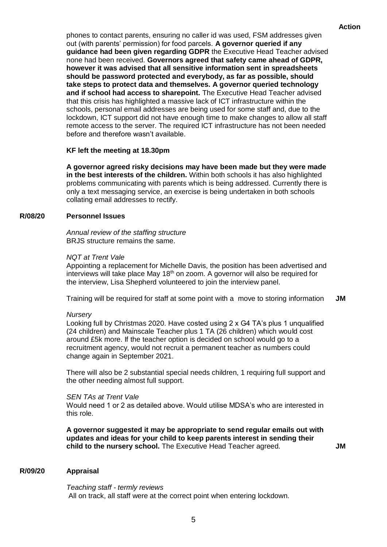phones to contact parents, ensuring no caller id was used, FSM addresses given out (with parents' permission) for food parcels. **A governor queried if any guidance had been given regarding GDPR** the Executive Head Teacher advised none had been received. **Governors agreed that safety came ahead of GDPR, however it was advised that all sensitive information sent in spreadsheets should be password protected and everybody, as far as possible, should take steps to protect data and themselves. A governor queried technology and if school had access to sharepoint.** The Executive Head Teacher advised that this crisis has highlighted a massive lack of ICT infrastructure within the schools, personal email addresses are being used for some staff and, due to the lockdown, ICT support did not have enough time to make changes to allow all staff remote access to the server. The required ICT infrastructure has not been needed before and therefore wasn't available.

### **KF left the meeting at 18.30pm**

**A governor agreed risky decisions may have been made but they were made in the best interests of the children.** Within both schools it has also highlighted problems communicating with parents which is being addressed. Currently there is only a text messaging service, an exercise is being undertaken in both schools collating email addresses to rectify.

#### **R/08/20 Personnel Issues**

*Annual review of the staffing structure* BRJS structure remains the same.

### *NQT at Trent Vale*

Appointing a replacement for Michelle Davis, the position has been advertised and interviews will take place May  $18<sup>th</sup>$  on zoom. A governor will also be required for the interview, Lisa Shepherd volunteered to join the interview panel.

Training will be required for staff at some point with a move to storing information **JM**

### *Nursery*

Looking full by Christmas 2020. Have costed using 2 x G4 TA's plus 1 unqualified (24 children) and Mainscale Teacher plus 1 TA (26 children) which would cost around £5k more. If the teacher option is decided on school would go to a recruitment agency, would not recruit a permanent teacher as numbers could change again in September 2021.

There will also be 2 substantial special needs children, 1 requiring full support and the other needing almost full support.

### *SEN TAs at Trent Vale*

Would need 1 or 2 as detailed above. Would utilise MDSA's who are interested in this role.

**A governor suggested it may be appropriate to send regular emails out with updates and ideas for your child to keep parents interest in sending their child to the nursery school.** The Executive Head Teacher agreed.

**JM**

#### **R/09/20 Appraisal**

*Teaching staff - termly reviews* All on track, all staff were at the correct point when entering lockdown.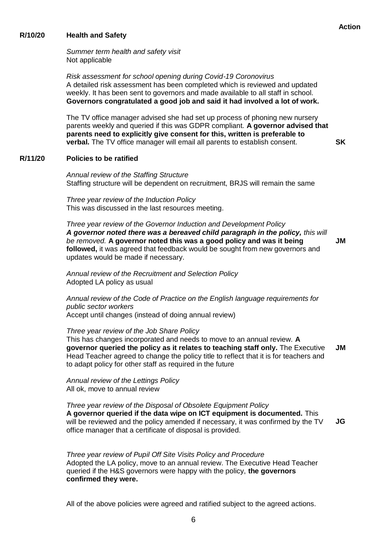#### **R/10/20 Health and Safety**

*Summer term health and safety visit* Not applicable

*Risk assessment for school opening during Covid-19 Coronovirus* A detailed risk assessment has been completed which is reviewed and updated weekly. It has been sent to governors and made available to all staff in school. **Governors congratulated a good job and said it had involved a lot of work.**

The TV office manager advised she had set up process of phoning new nursery parents weekly and queried if this was GDPR compliant. **A governor advised that parents need to explicitly give consent for this, written is preferable to verbal.** The TV office manager will email all parents to establish consent.

#### **R/11/20 Policies to be ratified**

*Annual review of the Staffing Structure* Staffing structure will be dependent on recruitment, BRJS will remain the same

*Three year review of the Induction Policy* This was discussed in the last resources meeting.

*Three year review of the Governor Induction and Development Policy* A governor noted there was a bereaved child paragraph in the policy, this will *be removed.* **A governor noted this was a good policy and was it being followed,** it was agreed that feedback would be sought from new governors and updates would be made if necessary. **JM**

*Annual review of the Recruitment and Selection Policy* Adopted LA policy as usual

*Annual review of the Code of Practice on the English language requirements for public sector workers* Accept until changes (instead of doing annual review)

*Three year review of the Job Share Policy*

This has changes incorporated and needs to move to an annual review. **A governor queried the policy as it relates to teaching staff only.** The Executive Head Teacher agreed to change the policy title to reflect that it is for teachers and to adapt policy for other staff as required in the future **JM**

*Annual review of the Lettings Policy* All ok, move to annual review

*Three year review of the Disposal of Obsolete Equipment Policy* **A governor queried if the data wipe on ICT equipment is documented.** This will be reviewed and the policy amended if necessary, it was confirmed by the TV office manager that a certificate of disposal is provided. **JG**

*Three year review of Pupil Off Site Visits Policy and Procedure* Adopted the LA policy, move to an annual review. The Executive Head Teacher queried if the H&S governors were happy with the policy, **the governors confirmed they were.**

All of the above policies were agreed and ratified subject to the agreed actions.

**SK**